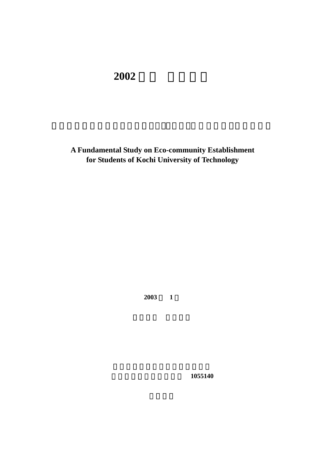## **2002**

**A Fundamental Study on Eco-community Establishment for Students of Kochi University of Technology**

**2003** 1

社会システム工学コース **1055140**